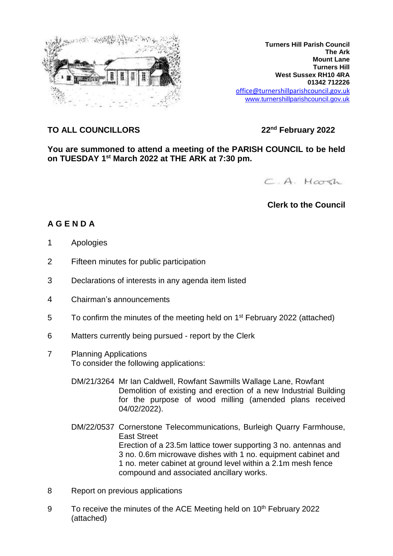

**Turners Hill Parish Council The Ark Mount Lane Turners Hill West Sussex RH10 4RA 01342 712226** office@turnershillparishcouncil.gov.uk [www.turnershillparishcouncil.gov.uk](http://www.turnershillparishcouncil.gov.uk/)

## **TO ALL COUNCILLORS 22nd February 2022**

**You are summoned to attend a meeting of the PARISH COUNCIL to be held on TUESDAY 1 st March 2022 at THE ARK at 7:30 pm.**

C.A. Harsh

## **Clerk to the Council**

## **A G E N D A**

- 1 Apologies
- 2 Fifteen minutes for public participation
- 3 Declarations of interests in any agenda item listed
- 4 Chairman's announcements
- 5 To confirm the minutes of the meeting held on 1<sup>st</sup> February 2022 (attached)
- 6 Matters currently being pursued report by the Clerk
- 7 Planning Applications To consider the following applications:
	- DM/21/3264 Mr Ian Caldwell, Rowfant Sawmills Wallage Lane, Rowfant Demolition of existing and erection of a new Industrial Building for the purpose of wood milling (amended plans received 04/02/2022).
	- DM/22/0537 Cornerstone Telecommunications, Burleigh Quarry Farmhouse, East Street Erection of a 23.5m lattice tower supporting 3 no. antennas and 3 no. 0.6m microwave dishes with 1 no. equipment cabinet and 1 no. meter cabinet at ground level within a 2.1m mesh fence compound and associated ancillary works.
- 8 Report on previous applications
- 9 To receive the minutes of the ACE Meeting held on 10<sup>th</sup> February 2022 (attached)